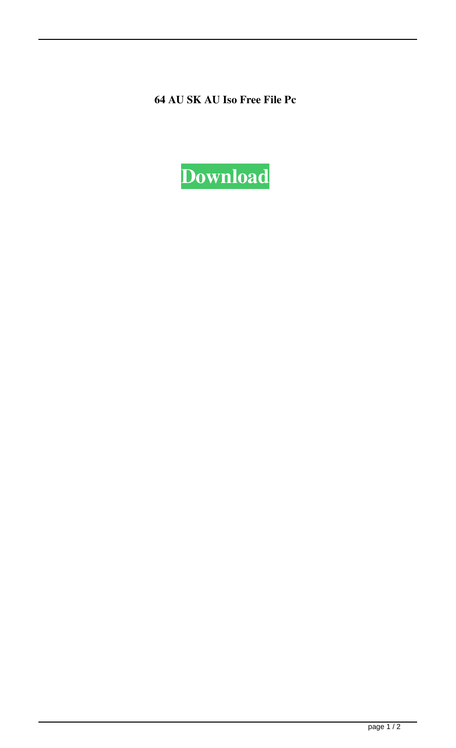**64 AU SK AU Iso Free File Pc**